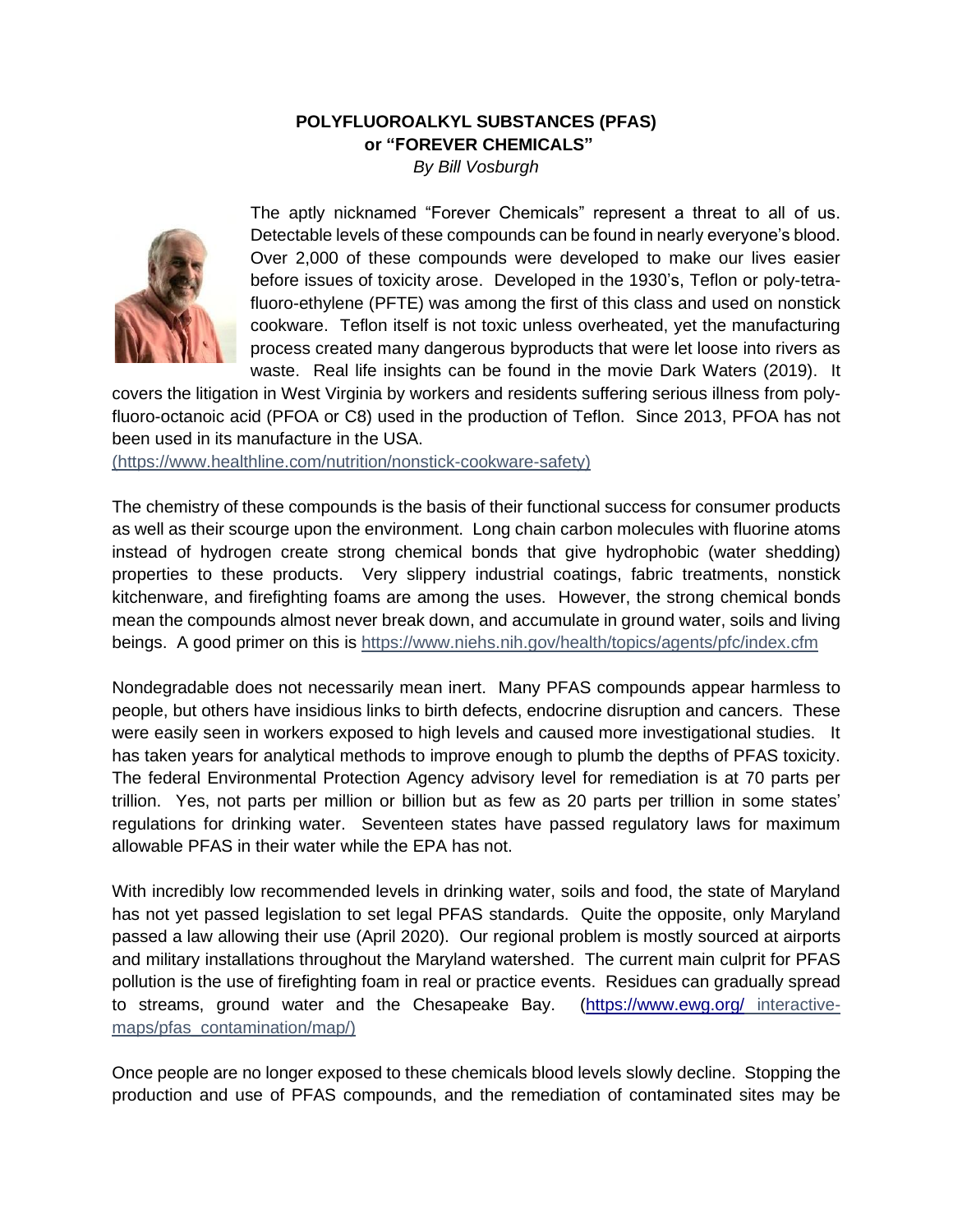## **POLYFLUOROALKYL SUBSTANCES (PFAS) or "FOREVER CHEMICALS"**

*By Bill Vosburgh*



The aptly nicknamed "Forever Chemicals" represent a threat to all of us. Detectable levels of these compounds can be found in nearly everyone's blood. Over 2,000 of these compounds were developed to make our lives easier before issues of toxicity arose. Developed in the 1930's, Teflon or poly-tetrafluoro-ethylene (PFTE) was among the first of this class and used on nonstick cookware. Teflon itself is not toxic unless overheated, yet the manufacturing process created many dangerous byproducts that were let loose into rivers as waste. Real life insights can be found in the movie Dark Waters (2019). It

covers the litigation in West Virginia by workers and residents suffering serious illness from polyfluoro-octanoic acid (PFOA or C8) used in the production of Teflon. Since 2013, PFOA has not been used in its manufacture in the USA.

(https://www.healthline.com/nutrition/nonstick-cookware-safety)

The chemistry of these compounds is the basis of their functional success for consumer products as well as their scourge upon the environment. Long chain carbon molecules with fluorine atoms instead of hydrogen create strong chemical bonds that give hydrophobic (water shedding) properties to these products. Very slippery industrial coatings, fabric treatments, nonstick kitchenware, and firefighting foams are among the uses. However, the strong chemical bonds mean the compounds almost never break down, and accumulate in ground water, soils and living beings. A good primer on this is https://www.niehs.nih.gov/health/topics/agents/pfc/index.cfm

Nondegradable does not necessarily mean inert. Many PFAS compounds appear harmless to people, but others have insidious links to birth defects, endocrine disruption and cancers. These were easily seen in workers exposed to high levels and caused more investigational studies. It has taken years for analytical methods to improve enough to plumb the depths of PFAS toxicity. The federal Environmental Protection Agency advisory level for remediation is at 70 parts per trillion. Yes, not parts per million or billion but as few as 20 parts per trillion in some states' regulations for drinking water. Seventeen states have passed regulatory laws for maximum allowable PFAS in their water while the EPA has not.

With incredibly low recommended levels in drinking water, soils and food, the state of Maryland has not yet passed legislation to set legal PFAS standards. Quite the opposite, only Maryland passed a law allowing their use (April 2020). Our regional problem is mostly sourced at airports and military installations throughout the Maryland watershed. The current main culprit for PFAS pollution is the use of firefighting foam in real or practice events. Residues can gradually spread to streams, ground water and the Chesapeake Bay. [\(https://www.ewg.org/](https://www.ewg.org/) interactivemaps/pfas\_contamination/map/)

Once people are no longer exposed to these chemicals blood levels slowly decline. Stopping the production and use of PFAS compounds, and the remediation of contaminated sites may be